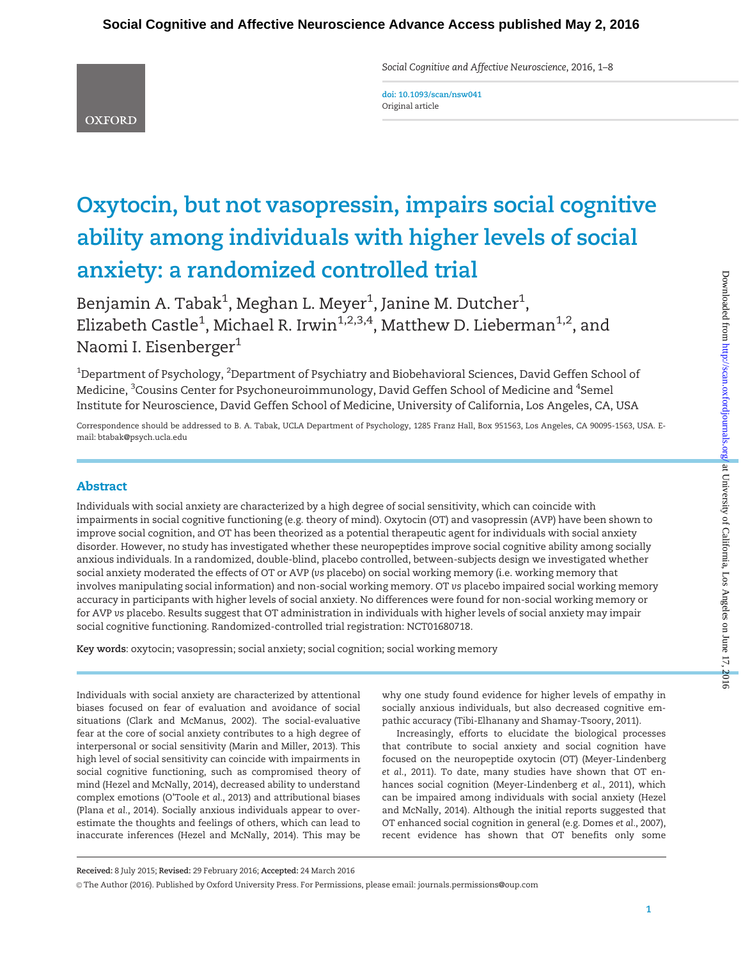Social Cognitive and Affective Neuroscience, 2016, 1–8

doi: 10.1093/scan/nsw041 Original article

**OXFORD** 

# Oxytocin, but not vasopressin, impairs social cognitive ability among individuals with higher levels of social anxiety: a randomized controlled trial

Benjamin A. Tabak $^1$ , Meghan L. Meyer $^1$ , Janine M. Dutcher $^1$ , Elizabeth Castle $^1$ , Michael R. Irwin $^{1,2,3,4}$ , Matthew D. Lieberman $^{1,2}$ , and Naomi I. Eisenberger<sup>1</sup>

 $^{\rm 1}$ Department of Psychology,  $^{\rm 2}$ Department of Psychiatry and Biobehavioral Sciences, David Geffen School of Medicine, <sup>3</sup>Cousins Center for Psychoneuroimmunology, David Geffen School of Medicine and <sup>4</sup>Semel Institute for Neuroscience, David Geffen School of Medicine, University of California, Los Angeles, CA, USA

Correspondence should be addressed to B. A. Tabak, UCLA Department of Psychology, 1285 Franz Hall, Box 951563, Los Angeles, CA 90095-1563, USA. Email: btabak@psych.ucla.edu

# Abstract

Individuals with social anxiety are characterized by a high degree of social sensitivity, which can coincide with impairments in social cognitive functioning (e.g. theory of mind). Oxytocin (OT) and vasopressin (AVP) have been shown to improve social cognition, and OT has been theorized as a potential therapeutic agent for individuals with social anxiety disorder. However, no study has investigated whether these neuropeptides improve social cognitive ability among socially anxious individuals. In a randomized, double-blind, placebo controlled, between-subjects design we investigated whether social anxiety moderated the effects of OT or AVP (vs placebo) on social working memory (i.e. working memory that involves manipulating social information) and non-social working memory. OT vs placebo impaired social working memory accuracy in participants with higher levels of social anxiety. No differences were found for non-social working memory or for AVP vs placebo. Results suggest that OT administration in individuals with higher levels of social anxiety may impair social cognitive functioning. Randomized-controlled trial registration: NCT01680718.

Key words: oxytocin; vasopressin; social anxiety; social cognition; social working memory

Individuals with social anxiety are characterized by attentional biases focused on fear of evaluation and avoidance of social situations (Clark and McManus, 2002). The social-evaluative fear at the core of social anxiety contributes to a high degree of interpersonal or social sensitivity (Marin and Miller, 2013). This high level of social sensitivity can coincide with impairments in social cognitive functioning, such as compromised theory of mind (Hezel and McNally, 2014), decreased ability to understand complex emotions (O'Toole et al., 2013) and attributional biases (Plana et al., 2014). Socially anxious individuals appear to overestimate the thoughts and feelings of others, which can lead to inaccurate inferences (Hezel and McNally, 2014). This may be

why one study found evidence for higher levels of empathy in socially anxious individuals, but also decreased cognitive empathic accuracy (Tibi-Elhanany and Shamay-Tsoory, 2011).

Increasingly, efforts to elucidate the biological processes that contribute to social anxiety and social cognition have focused on the neuropeptide oxytocin (OT) (Meyer-Lindenberg et al., 2011). To date, many studies have shown that OT enhances social cognition (Meyer-Lindenberg et al., 2011), which can be impaired among individuals with social anxiety (Hezel and McNally, 2014). Although the initial reports suggested that OT enhanced social cognition in general (e.g. Domes et al., 2007), recent evidence has shown that OT benefits only some

Received: 8 July 2015; Revised: 29 February 2016; Accepted: 24 March 2016

V<sup>C</sup> The Author (2016). Published by Oxford University Press. For Permissions, please email: journals.permissions@oup.com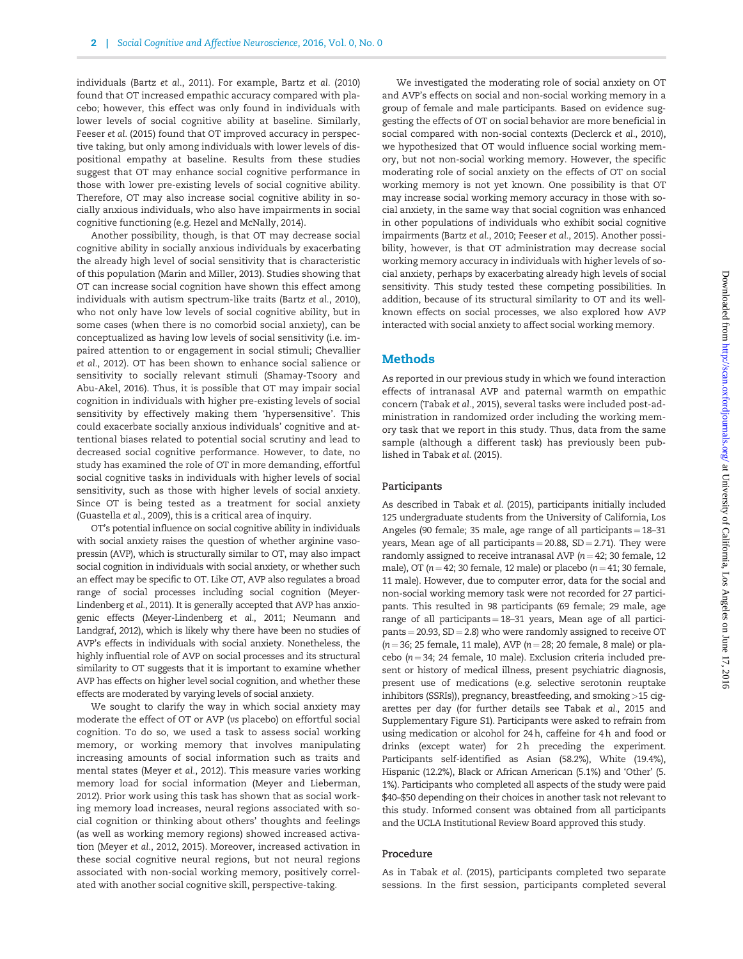individuals (Bartz et al., 2011). For example, Bartz et al. (2010) found that OT increased empathic accuracy compared with placebo; however, this effect was only found in individuals with lower levels of social cognitive ability at baseline. Similarly, Feeser et al. (2015) found that OT improved accuracy in perspective taking, but only among individuals with lower levels of dispositional empathy at baseline. Results from these studies suggest that OT may enhance social cognitive performance in those with lower pre-existing levels of social cognitive ability. Therefore, OT may also increase social cognitive ability in socially anxious individuals, who also have impairments in social cognitive functioning (e.g. Hezel and McNally, 2014).

Another possibility, though, is that OT may decrease social cognitive ability in socially anxious individuals by exacerbating the already high level of social sensitivity that is characteristic of this population (Marin and Miller, 2013). Studies showing that OT can increase social cognition have shown this effect among individuals with autism spectrum-like traits (Bartz et al., 2010), who not only have low levels of social cognitive ability, but in some cases (when there is no comorbid social anxiety), can be conceptualized as having low levels of social sensitivity (i.e. impaired attention to or engagement in social stimuli; Chevallier et al., 2012). OT has been shown to enhance social salience or sensitivity to socially relevant stimuli (Shamay-Tsoory and Abu-Akel, 2016). Thus, it is possible that OT may impair social cognition in individuals with higher pre-existing levels of social sensitivity by effectively making them 'hypersensitive'. This could exacerbate socially anxious individuals' cognitive and attentional biases related to potential social scrutiny and lead to decreased social cognitive performance. However, to date, no study has examined the role of OT in more demanding, effortful social cognitive tasks in individuals with higher levels of social sensitivity, such as those with higher levels of social anxiety. Since OT is being tested as a treatment for social anxiety (Guastella et al., 2009), this is a critical area of inquiry.

OT's potential influence on social cognitive ability in individuals with social anxiety raises the question of whether arginine vasopressin (AVP), which is structurally similar to OT, may also impact social cognition in individuals with social anxiety, or whether such an effect may be specific to OT. Like OT, AVP also regulates a broad range of social processes including social cognition (Meyer-Lindenberg et al., 2011). It is generally accepted that AVP has anxiogenic effects (Meyer-Lindenberg et al., 2011; Neumann and Landgraf, 2012), which is likely why there have been no studies of AVP's effects in individuals with social anxiety. Nonetheless, the highly influential role of AVP on social processes and its structural similarity to OT suggests that it is important to examine whether AVP has effects on higher level social cognition, and whether these effects are moderated by varying levels of social anxiety.

We sought to clarify the way in which social anxiety may moderate the effect of OT or AVP (vs placebo) on effortful social cognition. To do so, we used a task to assess social working memory, or working memory that involves manipulating increasing amounts of social information such as traits and mental states (Meyer et al., 2012). This measure varies working memory load for social information (Meyer and Lieberman, 2012). Prior work using this task has shown that as social working memory load increases, neural regions associated with social cognition or thinking about others' thoughts and feelings (as well as working memory regions) showed increased activation (Meyer et al., 2012, 2015). Moreover, increased activation in these social cognitive neural regions, but not neural regions associated with non-social working memory, positively correlated with another social cognitive skill, perspective-taking.

We investigated the moderating role of social anxiety on OT and AVP's effects on social and non-social working memory in a group of female and male participants. Based on evidence suggesting the effects of OT on social behavior are more beneficial in social compared with non-social contexts (Declerck et al., 2010), we hypothesized that OT would influence social working memory, but not non-social working memory. However, the specific moderating role of social anxiety on the effects of OT on social working memory is not yet known. One possibility is that OT may increase social working memory accuracy in those with social anxiety, in the same way that social cognition was enhanced in other populations of individuals who exhibit social cognitive impairments (Bartz et al., 2010; Feeser et al., 2015). Another possibility, however, is that OT administration may decrease social working memory accuracy in individuals with higher levels of social anxiety, perhaps by exacerbating already high levels of social sensitivity. This study tested these competing possibilities. In addition, because of its structural similarity to OT and its wellknown effects on social processes, we also explored how AVP interacted with social anxiety to affect social working memory.

#### Methods

As reported in our previous study in which we found interaction effects of intranasal AVP and paternal warmth on empathic concern (Tabak et al., 2015), several tasks were included post-administration in randomized order including the working memory task that we report in this study. Thus, data from the same sample (although a different task) has previously been published in Tabak et al. (2015).

#### Participants

As described in Tabak et al. (2015), participants initially included 125 undergraduate students from the University of California, Los Angeles (90 female; 35 male, age range of all participants  $= 18-31$ years, Mean age of all participants  $= 20.88$ , SD $= 2.71$ ). They were randomly assigned to receive intranasal AVP ( $n = 42$ ; 30 female, 12 male), OT ( $n = 42$ ; 30 female, 12 male) or placebo ( $n = 41$ ; 30 female, 11 male). However, due to computer error, data for the social and non-social working memory task were not recorded for 27 participants. This resulted in 98 participants (69 female; 29 male, age range of all participants  $= 18-31$  years, Mean age of all partici $parts = 20.93$ ,  $SD = 2.8$ ) who were randomly assigned to receive OT  $(n = 36; 25$  female, 11 male), AVP ( $n = 28; 20$  female, 8 male) or placebo ( $n = 34$ ; 24 female, 10 male). Exclusion criteria included present or history of medical illness, present psychiatric diagnosis, present use of medications (e.g. selective serotonin reuptake inhibitors (SSRIs)), pregnancy, breastfeeding, and smoking>15 cigarettes per day (for further details see Tabak et al., 2015 and Supplementary Figure S1). Participants were asked to refrain from using medication or alcohol for 24 h, caffeine for 4 h and food or drinks (except water) for 2h preceding the experiment. Participants self-identified as Asian (58.2%), White (19.4%), Hispanic (12.2%), Black or African American (5.1%) and 'Other' (5. 1%). Participants who completed all aspects of the study were paid \$40–\$50 depending on their choices in another task not relevant to this study. Informed consent was obtained from all participants and the UCLA Institutional Review Board approved this study.

#### Procedure

As in Tabak et al. (2015), participants completed two separate sessions. In the first session, participants completed several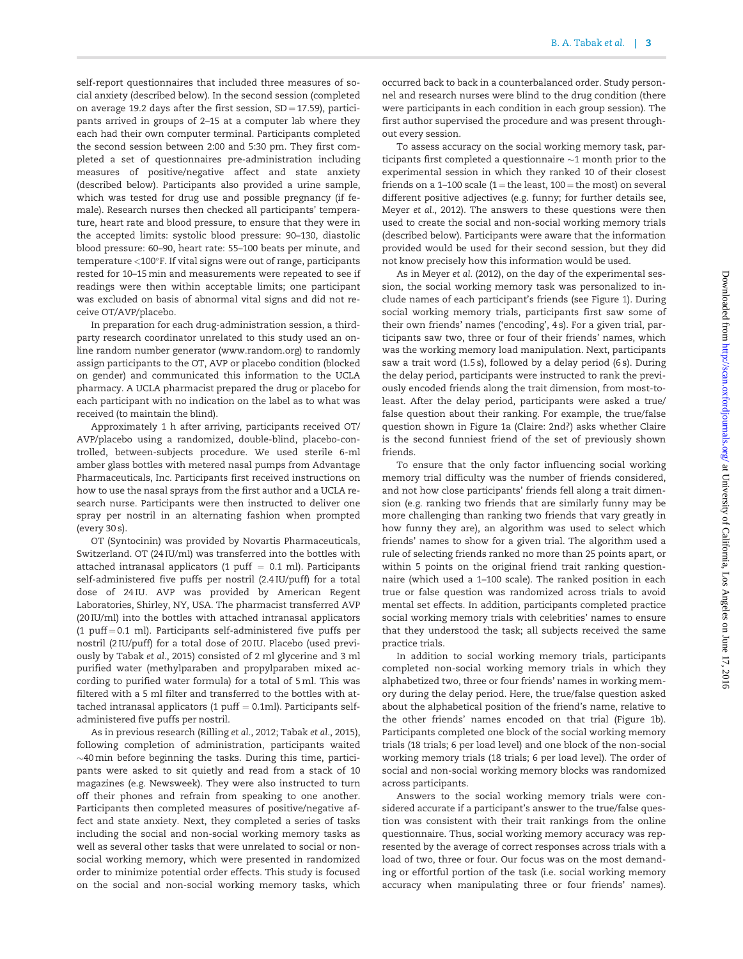self-report questionnaires that included three measures of social anxiety (described below). In the second session (completed on average 19.2 days after the first session,  $SD = 17.59$ ), participants arrived in groups of 2–15 at a computer lab where they each had their own computer terminal. Participants completed the second session between 2:00 and 5:30 pm. They first completed a set of questionnaires pre-administration including measures of positive/negative affect and state anxiety (described below). Participants also provided a urine sample, which was tested for drug use and possible pregnancy (if female). Research nurses then checked all participants' temperature, heart rate and blood pressure, to ensure that they were in the accepted limits: systolic blood pressure: 90–130, diastolic blood pressure: 60–90, heart rate: 55–100 beats per minute, and  $temperature < 100^{\circ}$ F. If vital signs were out of range, participants rested for 10–15 min and measurements were repeated to see if readings were then within acceptable limits; one participant was excluded on basis of abnormal vital signs and did not receive OT/AVP/placebo.

In preparation for each drug-administration session, a thirdparty research coordinator unrelated to this study used an online random number generator (www.random.org) to randomly assign participants to the OT, AVP or placebo condition (blocked on gender) and communicated this information to the UCLA pharmacy. A UCLA pharmacist prepared the drug or placebo for each participant with no indication on the label as to what was received (to maintain the blind).

Approximately 1 h after arriving, participants received OT/ AVP/placebo using a randomized, double-blind, placebo-controlled, between-subjects procedure. We used sterile 6-ml amber glass bottles with metered nasal pumps from Advantage Pharmaceuticals, Inc. Participants first received instructions on how to use the nasal sprays from the first author and a UCLA research nurse. Participants were then instructed to deliver one spray per nostril in an alternating fashion when prompted (every 30 s).

OT (Syntocinin) was provided by Novartis Pharmaceuticals, Switzerland. OT (24 IU/ml) was transferred into the bottles with attached intranasal applicators (1 puff  $=$  0.1 ml). Participants self-administered five puffs per nostril (2.4 IU/puff) for a total dose of 24 IU. AVP was provided by American Regent Laboratories, Shirley, NY, USA. The pharmacist transferred AVP (20 IU/ml) into the bottles with attached intranasal applicators (1 puff  $= 0.1$  ml). Participants self-administered five puffs per nostril (2 IU/puff) for a total dose of 20 IU. Placebo (used previously by Tabak et al., 2015) consisted of 2 ml glycerine and 3 ml purified water (methylparaben and propylparaben mixed according to purified water formula) for a total of 5 ml. This was filtered with a 5 ml filter and transferred to the bottles with attached intranasal applicators (1  $\text{puff} = 0.1\text{ml}$ ). Participants selfadministered five puffs per nostril.

As in previous research (Rilling et al., 2012; Tabak et al., 2015), following completion of administration, participants waited  $\sim$ 40 min before beginning the tasks. During this time, participants were asked to sit quietly and read from a stack of 10 magazines (e.g. Newsweek). They were also instructed to turn off their phones and refrain from speaking to one another. Participants then completed measures of positive/negative affect and state anxiety. Next, they completed a series of tasks including the social and non-social working memory tasks as well as several other tasks that were unrelated to social or nonsocial working memory, which were presented in randomized order to minimize potential order effects. This study is focused on the social and non-social working memory tasks, which

occurred back to back in a counterbalanced order. Study personnel and research nurses were blind to the drug condition (there were participants in each condition in each group session). The first author supervised the procedure and was present throughout every session.

To assess accuracy on the social working memory task, participants first completed a questionnaire  $\sim$ 1 month prior to the experimental session in which they ranked 10 of their closest friends on a 1-100 scale (1 = the least,  $100$  = the most) on several different positive adjectives (e.g. funny; for further details see, Meyer et al., 2012). The answers to these questions were then used to create the social and non-social working memory trials (described below). Participants were aware that the information provided would be used for their second session, but they did not know precisely how this information would be used.

As in Meyer et al. (2012), on the day of the experimental session, the social working memory task was personalized to include names of each participant's friends (see Figure 1). During social working memory trials, participants first saw some of their own friends' names ('encoding', 4 s). For a given trial, participants saw two, three or four of their friends' names, which was the working memory load manipulation. Next, participants saw a trait word (1.5 s), followed by a delay period (6 s). During the delay period, participants were instructed to rank the previously encoded friends along the trait dimension, from most-toleast. After the delay period, participants were asked a true/ false question about their ranking. For example, the true/false question shown in Figure 1a (Claire: 2nd?) asks whether Claire is the second funniest friend of the set of previously shown friends.

To ensure that the only factor influencing social working memory trial difficulty was the number of friends considered, and not how close participants' friends fell along a trait dimension (e.g. ranking two friends that are similarly funny may be more challenging than ranking two friends that vary greatly in how funny they are), an algorithm was used to select which friends' names to show for a given trial. The algorithm used a rule of selecting friends ranked no more than 25 points apart, or within 5 points on the original friend trait ranking questionnaire (which used a 1–100 scale). The ranked position in each true or false question was randomized across trials to avoid mental set effects. In addition, participants completed practice social working memory trials with celebrities' names to ensure that they understood the task; all subjects received the same practice trials.

In addition to social working memory trials, participants completed non-social working memory trials in which they alphabetized two, three or four friends' names in working memory during the delay period. Here, the true/false question asked about the alphabetical position of the friend's name, relative to the other friends' names encoded on that trial (Figure 1b). Participants completed one block of the social working memory trials (18 trials; 6 per load level) and one block of the non-social working memory trials (18 trials; 6 per load level). The order of social and non-social working memory blocks was randomized across participants.

Answers to the social working memory trials were considered accurate if a participant's answer to the true/false question was consistent with their trait rankings from the online questionnaire. Thus, social working memory accuracy was represented by the average of correct responses across trials with a load of two, three or four. Our focus was on the most demanding or effortful portion of the task (i.e. social working memory accuracy when manipulating three or four friends' names).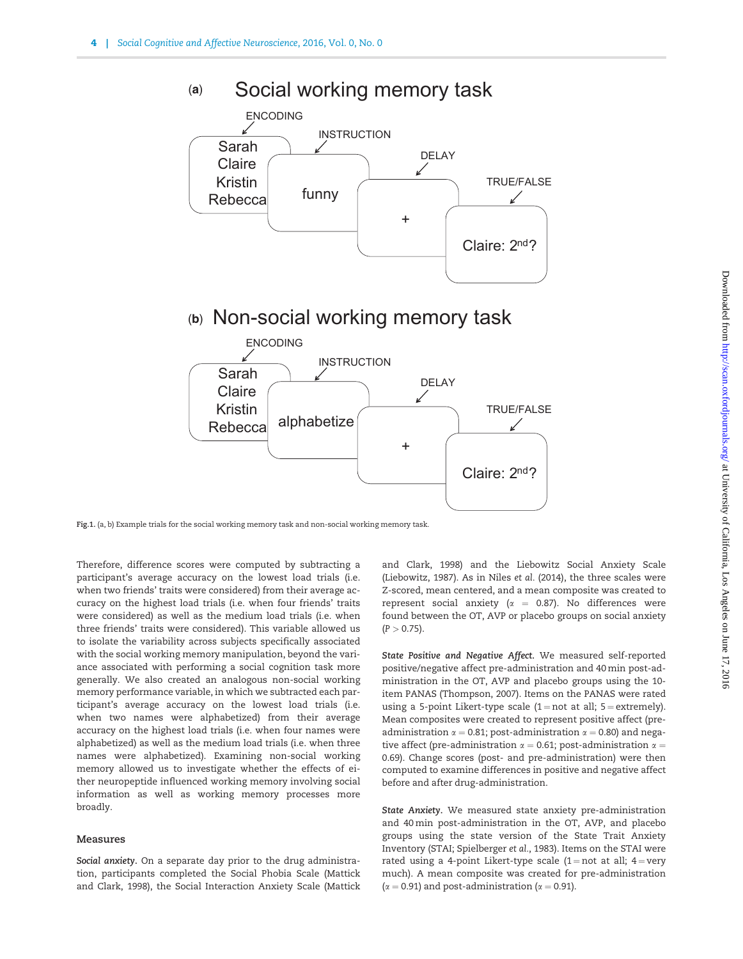

# (b) Non-social working memory task



Fig.1. (a, b) Example trials for the social working memory task and non-social working memory task.

Therefore, difference scores were computed by subtracting a participant's average accuracy on the lowest load trials (i.e. when two friends' traits were considered) from their average accuracy on the highest load trials (i.e. when four friends' traits were considered) as well as the medium load trials (i.e. when three friends' traits were considered). This variable allowed us to isolate the variability across subjects specifically associated with the social working memory manipulation, beyond the variance associated with performing a social cognition task more generally. We also created an analogous non-social working memory performance variable, in which we subtracted each participant's average accuracy on the lowest load trials (i.e. when two names were alphabetized) from their average accuracy on the highest load trials (i.e. when four names were alphabetized) as well as the medium load trials (i.e. when three names were alphabetized). Examining non-social working memory allowed us to investigate whether the effects of either neuropeptide influenced working memory involving social information as well as working memory processes more broadly.

#### Measures

Social anxiety. On a separate day prior to the drug administration, participants completed the Social Phobia Scale (Mattick and Clark, 1998), the Social Interaction Anxiety Scale (Mattick

and Clark, 1998) and the Liebowitz Social Anxiety Scale (Liebowitz, 1987). As in Niles et al. (2014), the three scales were Z-scored, mean centered, and a mean composite was created to represent social anxiety ( $\alpha$  = 0.87). No differences were found between the OT, AVP or placebo groups on social anxiety  $(P > 0.75)$ .

State Positive and Negative Affect. We measured self-reported positive/negative affect pre-administration and 40 min post-administration in the OT, AVP and placebo groups using the 10 item PANAS (Thompson, 2007). Items on the PANAS were rated using a 5-point Likert-type scale  $(1 = not at all; 5 = extremely)$ . Mean composites were created to represent positive affect (preadministration  $\alpha = 0.81$ ; post-administration  $\alpha = 0.80$ ) and negative affect (pre-administration  $\alpha = 0.61$ ; post-administration  $\alpha =$ 0.69). Change scores (post- and pre-administration) were then computed to examine differences in positive and negative affect before and after drug-administration.

State Anxiety. We measured state anxiety pre-administration and 40 min post-administration in the OT, AVP, and placebo groups using the state version of the State Trait Anxiety Inventory (STAI; Spielberger et al., 1983). Items on the STAI were rated using a 4-point Likert-type scale  $(1 = not at all; 4 = very$ much). A mean composite was created for pre-administration ( $\alpha$  = 0.91) and post-administration ( $\alpha$  = 0.91).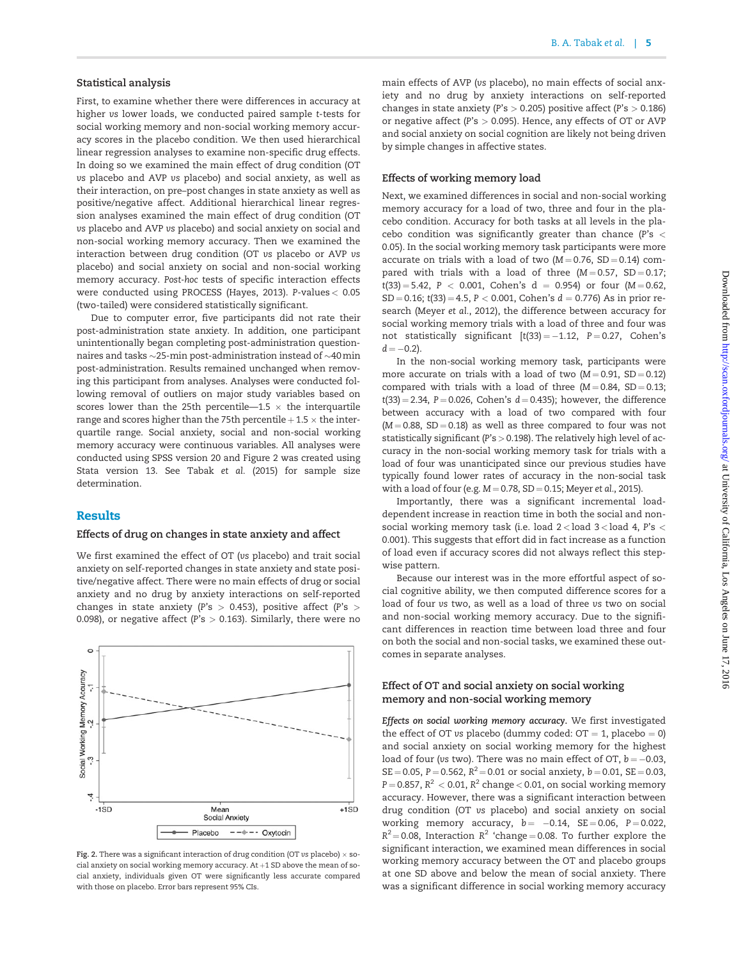#### Statistical analysis

First, to examine whether there were differences in accuracy at higher vs lower loads, we conducted paired sample t-tests for social working memory and non-social working memory accuracy scores in the placebo condition. We then used hierarchical linear regression analyses to examine non-specific drug effects. In doing so we examined the main effect of drug condition (OT vs placebo and AVP vs placebo) and social anxiety, as well as their interaction, on pre–post changes in state anxiety as well as positive/negative affect. Additional hierarchical linear regression analyses examined the main effect of drug condition (OT vs placebo and AVP vs placebo) and social anxiety on social and non-social working memory accuracy. Then we examined the interaction between drug condition (OT vs placebo or AVP vs placebo) and social anxiety on social and non-social working memory accuracy. Post-hoc tests of specific interaction effects were conducted using PROCESS (Hayes, 2013). P-values < 0.05 (two-tailed) were considered statistically significant.

Due to computer error, five participants did not rate their post-administration state anxiety. In addition, one participant unintentionally began completing post-administration questionnaires and tasks  $\sim$ 25-min post-administration instead of  $\sim$ 40 min post-administration. Results remained unchanged when removing this participant from analyses. Analyses were conducted following removal of outliers on major study variables based on scores lower than the 25th percentile—1.5  $\times$  the interquartile range and scores higher than the 75th percentile  $+1.5 \times$  the interquartile range. Social anxiety, social and non-social working memory accuracy were continuous variables. All analyses were conducted using SPSS version 20 and Figure 2 was created using Stata version 13. See Tabak et al. (2015) for sample size determination.

# Results

#### Effects of drug on changes in state anxiety and affect

We first examined the effect of OT (vs placebo) and trait social anxiety on self-reported changes in state anxiety and state positive/negative affect. There were no main effects of drug or social anxiety and no drug by anxiety interactions on self-reported changes in state anxiety (P's  $> 0.453$ ), positive affect (P's  $>$ 0.098), or negative affect (P's  $>$  0.163). Similarly, there were no



Fig. 2. There was a significant interaction of drug condition (OT vs placebo)  $\times$  social anxiety on social working memory accuracy. At  $+1$  SD above the mean of social anxiety, individuals given OT were significantly less accurate compared with those on placebo. Error bars represent 95% CIs.

main effects of AVP (vs placebo), no main effects of social anxiety and no drug by anxiety interactions on self-reported changes in state anxiety (P's  $> 0.205$ ) positive affect (P's  $> 0.186$ ) or negative affect (P's  $> 0.095$ ). Hence, any effects of OT or AVP and social anxiety on social cognition are likely not being driven by simple changes in affective states.

#### Effects of working memory load

Next, we examined differences in social and non-social working memory accuracy for a load of two, three and four in the placebo condition. Accuracy for both tasks at all levels in the placebo condition was significantly greater than chance (P's  $\lt$ 0.05). In the social working memory task participants were more accurate on trials with a load of two  $(M = 0.76, SD = 0.14)$  compared with trials with a load of three  $(M = 0.57, SD = 0.17;$  $t(33) = 5.42$ , P < 0.001, Cohen's d = 0.954) or four (M = 0.62,  $SD = 0.16$ ; t(33) = 4.5, P < 0.001, Cohen's  $d = 0.776$ ) As in prior research (Meyer et al., 2012), the difference between accuracy for social working memory trials with a load of three and four was not statistically significant  $[t(33) = -1.12, P = 0.27, Cohen's$  $d = -0.2$ ).

In the non-social working memory task, participants were more accurate on trials with a load of two  $(M = 0.91, SD = 0.12)$ compared with trials with a load of three  $(M = 0.84, SD = 0.13;$  $t(33) = 2.34$ ,  $P = 0.026$ , Cohen's  $d = 0.435$ ); however, the difference between accuracy with a load of two compared with four  $(M = 0.88, SD = 0.18)$  as well as three compared to four was not statistically significant ( $P's > 0.198$ ). The relatively high level of accuracy in the non-social working memory task for trials with a load of four was unanticipated since our previous studies have typically found lower rates of accuracy in the non-social task with a load of four (e.g.  $M = 0.78$ , SD = 0.15; Meyer et al., 2015).

Importantly, there was a significant incremental loaddependent increase in reaction time in both the social and nonsocial working memory task (i.e. load  $2 <$  load  $3 <$  load 4, P's  $<$ 0.001). This suggests that effort did in fact increase as a function of load even if accuracy scores did not always reflect this stepwise pattern.

Because our interest was in the more effortful aspect of social cognitive ability, we then computed difference scores for a load of four vs two, as well as a load of three vs two on social and non-social working memory accuracy. Due to the significant differences in reaction time between load three and four on both the social and non-social tasks, we examined these outcomes in separate analyses.

#### Effect of OT and social anxiety on social working memory and non-social working memory

Effects on social working memory accuracy. We first investigated the effect of OT vs placebo (dummy coded:  $OT = 1$ , placebo = 0) and social anxiety on social working memory for the highest load of four (vs two). There was no main effect of OT,  $b = -0.03$ ,  $SE = 0.05$ , P = 0.562, R<sup>2</sup> = 0.01 or social anxiety, b = 0.01, SE = 0.03,  $P = 0.857$ ,  $R^2 < 0.01$ ,  $R^2$  change  $< 0.01$ , on social working memory accuracy. However, there was a significant interaction between drug condition (OT vs placebo) and social anxiety on social working memory accuracy,  $b = -0.14$ ,  $SE = 0.06$ ,  $P = 0.022$ ,  $R^2$  = 0.08, Interaction  $R^2$  'change = 0.08. To further explore the significant interaction, we examined mean differences in social working memory accuracy between the OT and placebo groups at one SD above and below the mean of social anxiety. There was a significant difference in social working memory accuracy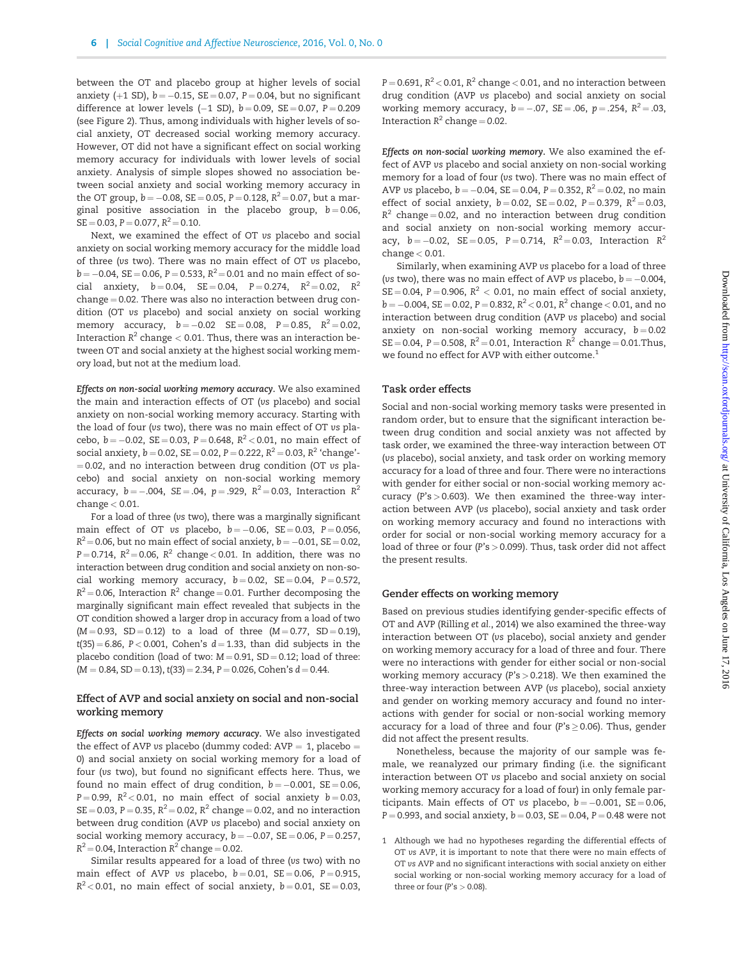between the OT and placebo group at higher levels of social anxiety (+1 SD),  $b = -0.15$ , SE = 0.07, P = 0.04, but no significant difference at lower levels  $(-1 S_D)$ ,  $b = 0.09$ ,  $SE = 0.07$ ,  $P = 0.209$ (see Figure 2). Thus, among individuals with higher levels of social anxiety, OT decreased social working memory accuracy. However, OT did not have a significant effect on social working memory accuracy for individuals with lower levels of social anxiety. Analysis of simple slopes showed no association between social anxiety and social working memory accuracy in the OT group,  $b = -0.08$ , SE = 0.05, P = 0.128, R<sup>2</sup> = 0.07, but a marginal positive association in the placebo group,  $b = 0.06$ ,  $SE = 0.03$ ,  $P = 0.077$ ,  $R^2 = 0.10$ .

Next, we examined the effect of OT vs placebo and social anxiety on social working memory accuracy for the middle load of three (vs two). There was no main effect of OT vs placebo,  $b = -0.04$ , SE = 0.06, P = 0.533, R<sup>2</sup> = 0.01 and no main effect of social anxiety,  $b = 0.04$ ,  $SE = 0.04$ ,  $P = 0.274$ ,  $R^2 = 0.02$ ,  $R^2$  $change = 0.02$ . There was also no interaction between drug condition (OT vs placebo) and social anxiety on social working memory accuracy,  $b = -0.02$  SE = 0.08, P = 0.85, R<sup>2</sup> = 0.02, Interaction  $R^2$  change  $< 0.01$ . Thus, there was an interaction between OT and social anxiety at the highest social working memory load, but not at the medium load.

Effects on non-social working memory accuracy. We also examined the main and interaction effects of OT (vs placebo) and social anxiety on non-social working memory accuracy. Starting with the load of four (vs two), there was no main effect of OT vs placebo,  $b = -0.02$ , SE = 0.03, P = 0.648, R<sup>2</sup> < 0.01, no main effect of social anxiety,  $b = 0.02$ , SE = 0.02, P = 0.222, R<sup>2</sup> = 0.03, R<sup>2</sup> 'change'- $= 0.02$ , and no interaction between drug condition (OT vs placebo) and social anxiety on non-social working memory accuracy,  $b = -.004$ , SE = .04, p = .929, R<sup>2</sup> = 0.03, Interaction R<sup>2</sup> change < 0.01.

For a load of three (vs two), there was a marginally significant main effect of OT vs placebo,  $b = -0.06$ ,  $SE = 0.03$ ,  $P = 0.056$ ,  $R^2$  = 0.06, but no main effect of social anxiety,  $b$  = -0.01, SE = 0.02, P=0.714,  $R^2$ =0.06,  $R^2$  change < 0.01. In addition, there was no interaction between drug condition and social anxiety on non-social working memory accuracy,  $b = 0.02$ ,  $SE = 0.04$ ,  $P = 0.572$ ,  $R^2$  = 0.06, Interaction  $R^2$  change = 0.01. Further decomposing the marginally significant main effect revealed that subjects in the OT condition showed a larger drop in accuracy from a load of two  $(M = 0.93, SD = 0.12)$  to a load of three  $(M = 0.77, SD = 0.19)$ ,  $t(35) = 6.86$ , P<0.001, Cohen's  $d = 1.33$ , than did subjects in the placebo condition (load of two:  $M = 0.91$ , SD = 0.12; load of three:  $(M = 0.84, SD = 0.13), t(33) = 2.34, P = 0.026, Cohen's d = 0.44.$ 

#### Effect of AVP and social anxiety on social and non-social working memory

Effects on social working memory accuracy. We also investigated the effect of AVP vs placebo (dummy coded:  $AVP = 1$ , placebo = 0) and social anxiety on social working memory for a load of four (vs two), but found no significant effects here. Thus, we found no main effect of drug condition,  $b = -0.001$ , SE = 0.06, P = 0.99,  $R^2$  < 0.01, no main effect of social anxiety  $b = 0.03$ ,  $SE = 0.03$ ,  $P = 0.35$ ,  $R^2 = 0.02$ ,  $R^2$  change = 0.02, and no interaction between drug condition (AVP vs placebo) and social anxiety on social working memory accuracy,  $b = -0.07$ ,  $SE = 0.06$ ,  $P = 0.257$ ,  $R^2$  = 0.04, Interaction  $R^2$  change = 0.02.

Similar results appeared for a load of three (vs two) with no main effect of AVP vs placebo,  $b = 0.01$ , SE = 0.06, P = 0.915,  $R^2$  < 0.01, no main effect of social anxiety,  $b = 0.01$ , SE = 0.03,  $P = 0.691$ ,  $R^2 < 0.01$ ,  $R^2$  change  $< 0.01$ , and no interaction between drug condition (AVP vs placebo) and social anxiety on social working memory accuracy,  $b = -.07$ ,  $SE = .06$ ,  $p = .254$ ,  $R^2 = .03$ , Interaction  $R^2$  change = 0.02.

Effects on non-social working memory. We also examined the effect of AVP vs placebo and social anxiety on non-social working memory for a load of four (vs two). There was no main effect of AVP vs placebo,  $b = -0.04$ , SE = 0.04, P = 0.352, R<sup>2</sup> = 0.02, no main effect of social anxiety,  $b = 0.02$ ,  $SE = 0.02$ ,  $P = 0.379$ ,  $R^2 = 0.03$ ,  $R^2$  change = 0.02, and no interaction between drug condition and social anxiety on non-social working memory accuracy,  $b = -0.02$ ,  $SE = 0.05$ ,  $P = 0.714$ ,  $R^2 = 0.03$ , Interaction  $R^2$  $change < 0.01$ .

Similarly, when examining AVP vs placebo for a load of three (vs two), there was no main effect of AVP vs placebo,  $b = -0.004$ ,  $SE = 0.04$ ,  $P = 0.906$ ,  $R^2 < 0.01$ , no main effect of social anxiety,  $b = -0.004$ , SE = 0.02, P = 0.832, R<sup>2</sup> < 0.01, R<sup>2</sup> change < 0.01, and no interaction between drug condition (AVP vs placebo) and social anxiety on non-social working memory accuracy,  $b = 0.02$  $SE = 0.04$ ,  $P = 0.508$ ,  $R^2 = 0.01$ , Interaction  $R^2$  change = 0.01. Thus, we found no effect for AVP with either outcome.<sup>1</sup>

#### Task order effects

Social and non-social working memory tasks were presented in random order, but to ensure that the significant interaction between drug condition and social anxiety was not affected by task order, we examined the three-way interaction between OT (vs placebo), social anxiety, and task order on working memory accuracy for a load of three and four. There were no interactions with gender for either social or non-social working memory accuracy  $(P's > 0.603)$ . We then examined the three-way interaction between AVP (vs placebo), social anxiety and task order on working memory accuracy and found no interactions with order for social or non-social working memory accuracy for a load of three or four (P's > 0.099). Thus, task order did not affect the present results.

#### Gender effects on working memory

Based on previous studies identifying gender-specific effects of OT and AVP (Rilling et al., 2014) we also examined the three-way interaction between OT (vs placebo), social anxiety and gender on working memory accuracy for a load of three and four. There were no interactions with gender for either social or non-social working memory accuracy (P's > 0.218). We then examined the three-way interaction between AVP (vs placebo), social anxiety and gender on working memory accuracy and found no interactions with gender for social or non-social working memory accuracy for a load of three and four (P's  $\geq$  0.06). Thus, gender did not affect the present results.

Nonetheless, because the majority of our sample was female, we reanalyzed our primary finding (i.e. the significant interaction between OT vs placebo and social anxiety on social working memory accuracy for a load of four) in only female participants. Main effects of OT vs placebo,  $b = -0.001$ , SE = 0.06,  $P = 0.993$ , and social anxiety,  $b = 0.03$ ,  $SE = 0.04$ ,  $P = 0.48$  were not

<sup>1</sup> Although we had no hypotheses regarding the differential effects of OT vs AVP, it is important to note that there were no main effects of OT vs AVP and no significant interactions with social anxiety on either social working or non-social working memory accuracy for a load of three or four (P's  $> 0.08$ ).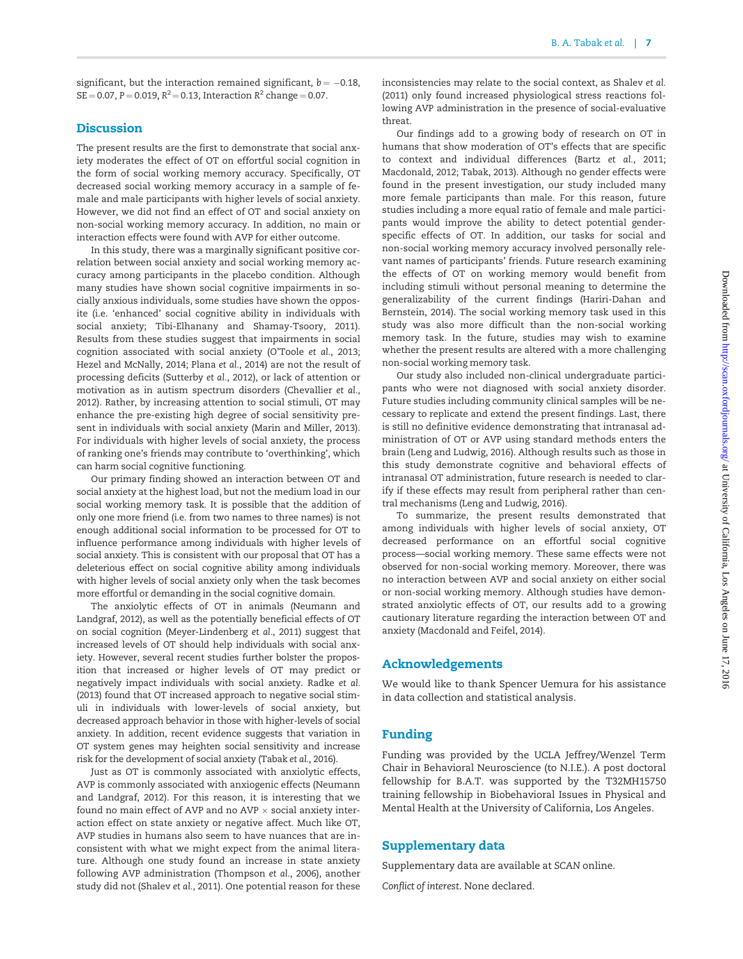significant, but the interaction remained significant,  $b = -0.18$ ,  $SE = 0.07$ ,  $P = 0.019$ ,  $R^2 = 0.13$ , Interaction  $R^2$  change  $= 0.07$ .

# **Discussion**

The present results are the first to demonstrate that social anxiety moderates the effect of OT on effortful social cognition in the form of social working memory accuracy. Specifically, OT decreased social working memory accuracy in a sample of female and male participants with higher levels of social anxiety. However, we did not find an effect of OT and social anxiety on non-social working memory accuracy. In addition, no main or interaction effects were found with AVP for either outcome.

In this study, there was a marginally significant positive correlation between social anxiety and social working memory accuracy among participants in the placebo condition. Although many studies have shown social cognitive impairments in socially anxious individuals, some studies have shown the opposite (i.e. 'enhanced' social cognitive ability in individuals with social anxiety; Tibi-Elhanany and Shamay-Tsoory, 2011). Results from these studies suggest that impairments in social cognition associated with social anxiety (O'Toole et al., 2013; Hezel and McNally, 2014; Plana et al., 2014) are not the result of processing deficits (Sutterby et al., 2012), or lack of attention or motivation as in autism spectrum disorders (Chevallier et al., 2012). Rather, by increasing attention to social stimuli, OT may enhance the pre-existing high degree of social sensitivity present in individuals with social anxiety (Marin and Miller, 2013). For individuals with higher levels of social anxiety, the process of ranking one's friends may contribute to 'overthinking', which can harm social cognitive functioning.

Our primary finding showed an interaction between OT and social anxiety at the highest load, but not the medium load in our social working memory task. It is possible that the addition of only one more friend (i.e. from two names to three names) is not enough additional social information to be processed for OT to influence performance among individuals with higher levels of social anxiety. This is consistent with our proposal that OT has a deleterious effect on social cognitive ability among individuals with higher levels of social anxiety only when the task becomes more effortful or demanding in the social cognitive domain.

The anxiolytic effects of OT in animals (Neumann and Landgraf, 2012), as well as the potentially beneficial effects of OT on social cognition (Meyer-Lindenberg et al., 2011) suggest that increased levels of OT should help individuals with social anxiety. However, several recent studies further bolster the proposition that increased or higher levels of OT may predict or negatively impact individuals with social anxiety. Radke et al. (2013) found that OT increased approach to negative social stimuli in individuals with lower-levels of social anxiety, but decreased approach behavior in those with higher-levels of social anxiety. In addition, recent evidence suggests that variation in OT system genes may heighten social sensitivity and increase risk for the development of social anxiety (Tabak et al., 2016).

Just as OT is commonly associated with anxiolytic effects, AVP is commonly associated with anxiogenic effects (Neumann and Landgraf, 2012). For this reason, it is interesting that we found no main effect of AVP and no AVP  $\times$  social anxiety interaction effect on state anxiety or negative affect. Much like OT, AVP studies in humans also seem to have nuances that are inconsistent with what we might expect from the animal literature. Although one study found an increase in state anxiety following AVP administration (Thompson et al., 2006), another study did not (Shalev et al., 2011). One potential reason for these inconsistencies may relate to the social context, as Shalev et al. (2011) only found increased physiological stress reactions following AVP administration in the presence of social-evaluative threat.

Our findings add to a growing body of research on OT in humans that show moderation of OT's effects that are specific to context and individual differences (Bartz et al., 2011; Macdonald, 2012; Tabak, 2013). Although no gender effects were found in the present investigation, our study included many more female participants than male. For this reason, future studies including a more equal ratio of female and male participants would improve the ability to detect potential genderspecific effects of OT. In addition, our tasks for social and non-social working memory accuracy involved personally relevant names of participants' friends. Future research examining the effects of OT on working memory would benefit from including stimuli without personal meaning to determine the generalizability of the current findings (Hariri-Dahan and Bernstein, 2014). The social working memory task used in this study was also more difficult than the non-social working memory task. In the future, studies may wish to examine whether the present results are altered with a more challenging non-social working memory task.

Our study also included non-clinical undergraduate participants who were not diagnosed with social anxiety disorder. Future studies including community clinical samples will be necessary to replicate and extend the present findings. Last, there is still no definitive evidence demonstrating that intranasal administration of OT or AVP using standard methods enters the brain (Leng and Ludwig, 2016). Although results such as those in this study demonstrate cognitive and behavioral effects of intranasal OT administration, future research is needed to clarify if these effects may result from peripheral rather than central mechanisms (Leng and Ludwig, 2016).

To summarize, the present results demonstrated that among individuals with higher levels of social anxiety, OT decreased performance on an effortful social cognitive process—social working memory. These same effects were not observed for non-social working memory. Moreover, there was no interaction between AVP and social anxiety on either social or non-social working memory. Although studies have demonstrated anxiolytic effects of OT, our results add to a growing cautionary literature regarding the interaction between OT and anxiety (Macdonald and Feifel, 2014).

## Acknowledgements

We would like to thank Spencer Uemura for his assistance in data collection and statistical analysis.

# Funding

Funding was provided by the UCLA Jeffrey/Wenzel Term Chair in Behavioral Neuroscience (to N.I.E.). A post doctoral fellowship for B.A.T. was supported by the T32MH15750 training fellowship in Biobehavioral Issues in Physical and Mental Health at the University of California, Los Angeles.

# Supplementary data

Supplementary data are available at SCAN online.

Conflict of interest. None declared.